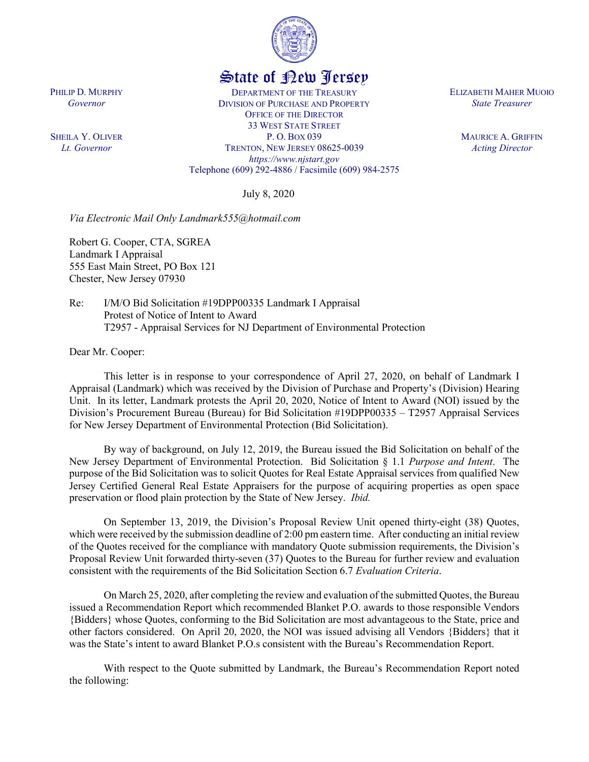

## State of New Jersey

DEPARTMENT OF THE TREASURY DIVISION OF PURCHASE AND PROPERTY OFFICE OF THE DIRECTOR 33 WEST STATE STREET P. O. BOX 039 TRENTON, NEW JERSEY 08625-0039 *https://www.njstart.gov* Telephone (609) 292-4886 / Facsimile (609) 984-2575

July 8, 2020

*Via Electronic Mail Only Landmark555@hotmail.com*

Robert G. Cooper, CTA, SGREA Landmark I Appraisal 555 East Main Street, PO Box 121 Chester, New Jersey 07930

Re: I/M/O Bid Solicitation #19DPP00335 Landmark I Appraisal Protest of Notice of Intent to Award T2957 - Appraisal Services for NJ Department of Environmental Protection

Dear Mr. Cooper:

PHILIP D. MURPHY *Governor*

SHEILA Y. OLIVER *Lt. Governor*

> This letter is in response to your correspondence of April 27, 2020, on behalf of Landmark I Appraisal (Landmark) which was received by the Division of Purchase and Property's (Division) Hearing Unit. In its letter, Landmark protests the April 20, 2020, Notice of Intent to Award (NOI) issued by the Division's Procurement Bureau (Bureau) for Bid Solicitation #19DPP00335 – T2957 Appraisal Services for New Jersey Department of Environmental Protection (Bid Solicitation).

> By way of background, on July 12, 2019, the Bureau issued the Bid Solicitation on behalf of the New Jersey Department of Environmental Protection. Bid Solicitation § 1.1 *Purpose and Intent*. The purpose of the Bid Solicitation was to solicit Quotes for Real Estate Appraisal services from qualified New Jersey Certified General Real Estate Appraisers for the purpose of acquiring properties as open space preservation or flood plain protection by the State of New Jersey. *Ibid.*

> On September 13, 2019, the Division's Proposal Review Unit opened thirty-eight (38) Quotes, which were received by the submission deadline of 2:00 pm eastern time. After conducting an initial review of the Quotes received for the compliance with mandatory Quote submission requirements, the Division's Proposal Review Unit forwarded thirty-seven (37) Quotes to the Bureau for further review and evaluation consistent with the requirements of the Bid Solicitation Section 6.7 *Evaluation Criteria*.

> On March 25, 2020, after completing the review and evaluation of the submitted Quotes, the Bureau issued a Recommendation Report which recommended Blanket P.O. awards to those responsible Vendors {Bidders} whose Quotes, conforming to the Bid Solicitation are most advantageous to the State, price and other factors considered. On April 20, 2020, the NOI was issued advising all Vendors {Bidders} that it was the State's intent to award Blanket P.O.s consistent with the Bureau's Recommendation Report.

> With respect to the Quote submitted by Landmark, the Bureau's Recommendation Report noted the following:

ELIZABETH MAHER MUOIO *State Treasurer*

> MAURICE A. GRIFFIN *Acting Director*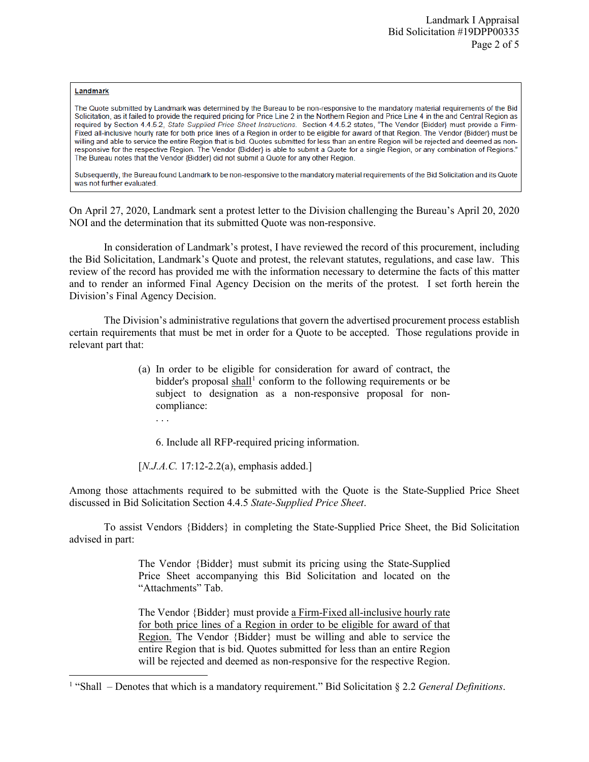## Landmark

l

The Quote submitted by Landmark was determined by the Bureau to be non-responsive to the mandatory material requirements of the Bid Solicitation, as it failed to provide the required pricing for Price Line 2 in the Northern Region and Price Line 4 in the and Central Region as required by Section 4.4.5.2, State Supplied Price Sheet Instructions. Section 4.4.5.2 states, "The Vendor {Bidder} must provide a Firm-Fixed all-inclusive hourly rate for both price lines of a Region in order to be eligible for award of that Region. The Vendor (Bidder) must be willing and able to service the entire Region that is bid. Quotes submitted for less than an entire Region will be rejected and deemed as nonresponsive for the respective Region. The Vendor {Bidder} is able to submit a Quote for a single Region, or any combination of Regions." The Bureau notes that the Vendor {Bidder} did not submit a Quote for any other Region.

Subsequently, the Bureau found Landmark to be non-responsive to the mandatory material requirements of the Bid Solicitation and its Quote was not further evaluated.

On April 27, 2020, Landmark sent a protest letter to the Division challenging the Bureau's April 20, 2020 NOI and the determination that its submitted Quote was non-responsive.

In consideration of Landmark's protest, I have reviewed the record of this procurement, including the Bid Solicitation, Landmark's Quote and protest, the relevant statutes, regulations, and case law. This review of the record has provided me with the information necessary to determine the facts of this matter and to render an informed Final Agency Decision on the merits of the protest. I set forth herein the Division's Final Agency Decision.

The Division's administrative regulations that govern the advertised procurement process establish certain requirements that must be met in order for a Quote to be accepted. Those regulations provide in relevant part that:

- (a) In order to be eligible for consideration for award of contract, the bidder's proposal  $\text{shall}^1$  $\text{shall}^1$  conform to the following requirements or be subject to designation as a non-responsive proposal for noncompliance:
	- . . .

6. Include all RFP-required pricing information.

[*N.J.A.C.* 17:12-2.2(a), emphasis added.]

Among those attachments required to be submitted with the Quote is the State-Supplied Price Sheet discussed in Bid Solicitation Section 4.4.5 *State-Supplied Price Sheet*.

To assist Vendors {Bidders} in completing the State-Supplied Price Sheet, the Bid Solicitation advised in part:

> The Vendor {Bidder} must submit its pricing using the State-Supplied Price Sheet accompanying this Bid Solicitation and located on the "Attachments" Tab.

> The Vendor {Bidder} must provide a Firm-Fixed all-inclusive hourly rate for both price lines of a Region in order to be eligible for award of that Region. The Vendor {Bidder} must be willing and able to service the entire Region that is bid. Quotes submitted for less than an entire Region will be rejected and deemed as non-responsive for the respective Region.

<span id="page-1-0"></span><sup>1</sup> "Shall – Denotes that which is a mandatory requirement." Bid Solicitation § 2.2 *General Definitions*.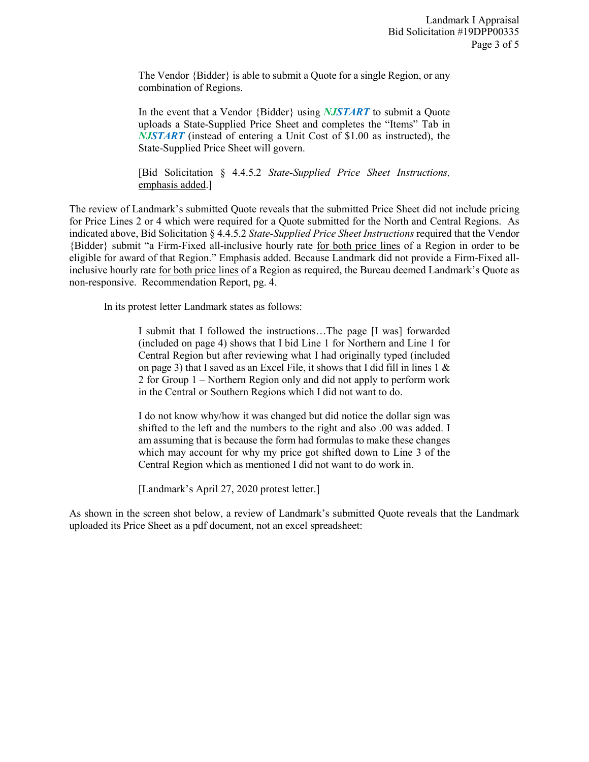The Vendor {Bidder} is able to submit a Quote for a single Region, or any combination of Regions.

In the event that a Vendor {Bidder} using *NJSTART* to submit a Quote uploads a State-Supplied Price Sheet and completes the "Items" Tab in *NJSTART* (instead of entering a Unit Cost of \$1.00 as instructed), the State-Supplied Price Sheet will govern.

[Bid Solicitation § 4.4.5.2 *State-Supplied Price Sheet Instructions,* emphasis added.]

The review of Landmark's submitted Quote reveals that the submitted Price Sheet did not include pricing for Price Lines 2 or 4 which were required for a Quote submitted for the North and Central Regions. As indicated above, Bid Solicitation § 4.4.5.2 *State-Supplied Price Sheet Instructions* required that the Vendor {Bidder} submit "a Firm-Fixed all-inclusive hourly rate for both price lines of a Region in order to be eligible for award of that Region." Emphasis added. Because Landmark did not provide a Firm-Fixed allinclusive hourly rate for both price lines of a Region as required, the Bureau deemed Landmark's Quote as non-responsive. Recommendation Report, pg. 4.

In its protest letter Landmark states as follows:

I submit that I followed the instructions…The page [I was] forwarded (included on page 4) shows that I bid Line 1 for Northern and Line 1 for Central Region but after reviewing what I had originally typed (included on page 3) that I saved as an Excel File, it shows that I did fill in lines  $1 \&$ 2 for Group 1 – Northern Region only and did not apply to perform work in the Central or Southern Regions which I did not want to do.

I do not know why/how it was changed but did notice the dollar sign was shifted to the left and the numbers to the right and also .00 was added. I am assuming that is because the form had formulas to make these changes which may account for why my price got shifted down to Line 3 of the Central Region which as mentioned I did not want to do work in.

[Landmark's April 27, 2020 protest letter.]

As shown in the screen shot below, a review of Landmark's submitted Quote reveals that the Landmark uploaded its Price Sheet as a pdf document, not an excel spreadsheet: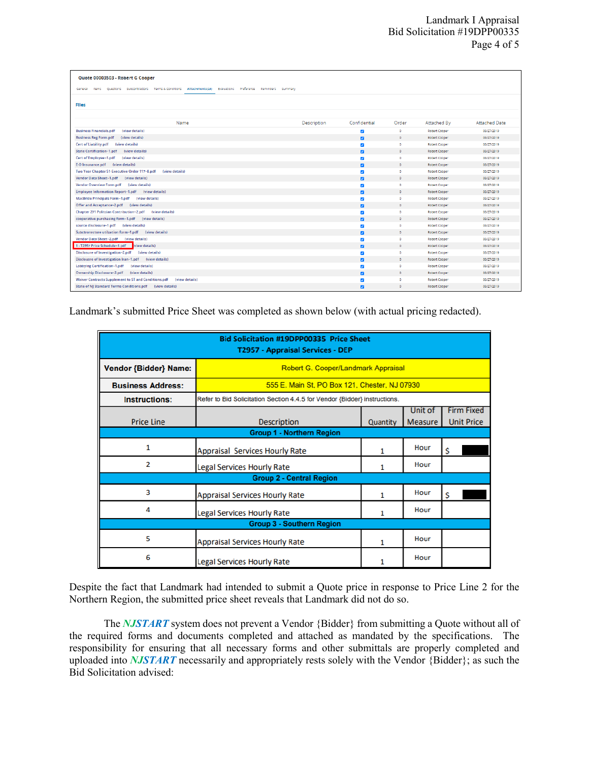| Ouote 00003503 - Robert G Cooper                                                                                                  |             |                         |            |               |                      |  |
|-----------------------------------------------------------------------------------------------------------------------------------|-------------|-------------------------|------------|---------------|----------------------|--|
| Preference Reminders Summary<br>Ouestions Subcontractors Terms & Conditions<br>Attachments(24)<br>Evaluations<br>General<br>items |             |                         |            |               |                      |  |
| <b>Files</b>                                                                                                                      |             |                         |            |               |                      |  |
|                                                                                                                                   |             |                         |            |               |                      |  |
|                                                                                                                                   |             |                         |            |               |                      |  |
| Name                                                                                                                              | Description | Confidential            | Order      | Attached By   | <b>Attached Date</b> |  |
| <b>Business Financials.pdf</b><br>(view details)                                                                                  |             | $\blacktriangledown$    | $\circ$    | Robert Cooper | 08/27/2019           |  |
| <b>Business Reg Form.pdf</b><br>(view details)                                                                                    |             | $\overline{\mathbf{z}}$ | $\circ$    | Robert Cooper | 08/27/2019           |  |
| Cert of Liability.pdf (view details)                                                                                              |             | $\overline{\mathbf{v}}$ | $^{\circ}$ | Robert Cooper | 08/27/2019           |  |
| <b>State Certification~1.pdf</b><br>(view details)                                                                                |             | $\overline{a}$          | $\circ$    | Robert Cooper | 08/27/2019           |  |
| Cert of Employee~1.pdf<br>(view details)                                                                                          |             | $\blacktriangledown$    | $\circ$    | Robert Cooper | 08/27/2019           |  |
| E-O Insurance.pdf (view details)                                                                                                  |             | $\overline{\mathbf{z}}$ | $\circ$    | Robert Cooper | 08/27/2019           |  |
| Two Year Chapter 51-Executive Order 117~8.pdf<br>(view details)                                                                   |             | $\overline{\mathbf{v}}$ | $\bullet$  | Robert Cooper | 08/27/2019           |  |
| Vendor Data Sheet~1.pdf (view details)                                                                                            |             | $\overline{a}$          | $\circ$    | Robert Cooper | 08/27/2019           |  |
| Vendor Overview Form.pdf (view details)                                                                                           |             | $\blacktriangledown$    | ۰          | Robert Cooper | 08/27/2019           |  |
| Employee Information Report~1.pdf (view details)                                                                                  |             | $\overline{\mathbf{z}}$ | $\circ$    | Robert Cooper | 08/27/2019           |  |
| MacBride Principals Form~1.pdf (view details)                                                                                     |             | $\overline{\mathbf{v}}$ | $\circ$    | Robert Cooper | 08/27/2019           |  |
| Offer and Acceptance~2.pdf (view details)                                                                                         |             | $\overline{a}$          | $\circ$    | Robert Cooper | 08/27/2019           |  |
| Chapter 271 Politcian Contribution~2.pdf (view details)                                                                           |             | $\blacktriangleright$   | ۰          | Robert Cooper | 08/27/2019           |  |
| cooperative purchasing form~1.pdf<br>(view details)                                                                               |             | $\overline{\mathbf{z}}$ | $\circ$    | Robert Cooper | 08/27/2019           |  |
| source disclosure~1.pdf (view details)                                                                                            |             | $\overline{\mathbf{v}}$ | $^{\circ}$ | Robert Cooper | 08/27/2019           |  |
| Subctronrctore utilzation form~1.pdf (view details)                                                                               |             | $\overline{a}$          | $\circ$    | Robert Cooper | 08/27/2019           |  |
| Vendor Data Sheet~2.pdf (view details)                                                                                            |             | $\blacktriangleright$   | ۰          | Robert Cooper | 08/27/2019           |  |
| 1 - T2957 Price Schedule~1.pdf view details)                                                                                      |             | $\overline{\mathbf{z}}$ | $\circ$    | Robert Cooper | 08/27/2019           |  |
| Disclosure of Investigation~2.pdf (view details)                                                                                  |             | $\overline{\mathbf{v}}$ | $\circ$    | Robert Cooper | 08/27/2019           |  |
| Disclousre of Investigation Iran~1.pdf (view details)                                                                             |             | $\overline{a}$          | $\circ$    | Robert Cooper | 08/27/2019           |  |
| <b>Lobbying Certification~1.pdf</b><br>(view details)                                                                             |             | $\overline{\mathbf{v}}$ | ۰          | Robert Cooper | 08/27/2019           |  |
| <b>Ownership Disclosure~2.pdf</b><br>(view details)                                                                               |             | $\overline{\mathbf{z}}$ | $\circ$    | Robert Cooper | 08/27/2019           |  |
| Waiver Contracts Supplement to ST and Conditions.pdf (view details)                                                               |             | $\overline{\mathbf{v}}$ | $\circ$    | Robert Cooper | 08/27/2019           |  |
| State of NJ Standard Terms-Conditions.pdf (view details)                                                                          |             | $\overline{a}$          | $\circ$    | Robert Cooper | 08/27/2019           |  |

Landmark's submitted Price Sheet was completed as shown below (with actual pricing redacted).

| <b>Bid Solicitation #19DPP00335 Price Sheet</b><br>T2957 - Appraisal Services - DEP |                                                                           |          |         |                   |  |  |
|-------------------------------------------------------------------------------------|---------------------------------------------------------------------------|----------|---------|-------------------|--|--|
| Vendor {Bidder} Name:                                                               | Robert G. Cooper/Landmark Appraisal                                       |          |         |                   |  |  |
| <b>Business Address:</b>                                                            | 555 E. Main St, PO Box 121, Chester, NJ 07930                             |          |         |                   |  |  |
| <b>Instructions:</b>                                                                | Refer to Bid Solicitation Section 4.4.5 for Vendor {Bidder} instructions. |          |         |                   |  |  |
|                                                                                     |                                                                           |          | Unit of | <b>Firm Fixed</b> |  |  |
| <b>Price Line</b>                                                                   | <b>Description</b>                                                        | Quantity | Measure | <b>Unit Price</b> |  |  |
| <b>Group 1 - Northern Region</b>                                                    |                                                                           |          |         |                   |  |  |
| 1                                                                                   | <b>Appraisal Services Hourly Rate</b>                                     | 1        | Hour    | \$                |  |  |
| 2                                                                                   | <b>Legal Services Hourly Rate</b>                                         | 1        | Hour    |                   |  |  |
| <b>Group 2 - Central Region</b>                                                     |                                                                           |          |         |                   |  |  |
| 3                                                                                   | <b>Appraisal Services Hourly Rate</b>                                     | 1        | Hour    | \$                |  |  |
| Δ                                                                                   | <b>Legal Services Hourly Rate</b>                                         | 1        | Hour    |                   |  |  |
| <b>Group 3 - Southern Region</b>                                                    |                                                                           |          |         |                   |  |  |
| 5                                                                                   | <b>Appraisal Services Hourly Rate</b>                                     |          | Hour    |                   |  |  |
| 6                                                                                   | <b>Legal Services Hourly Rate</b>                                         |          | Hour    |                   |  |  |

Despite the fact that Landmark had intended to submit a Quote price in response to Price Line 2 for the Northern Region, the submitted price sheet reveals that Landmark did not do so.

The *NJSTART* system does not prevent a Vendor {Bidder} from submitting a Quote without all of the required forms and documents completed and attached as mandated by the specifications. The responsibility for ensuring that all necessary forms and other submittals are properly completed and uploaded into *NJSTART* necessarily and appropriately rests solely with the Vendor {Bidder}; as such the Bid Solicitation advised: